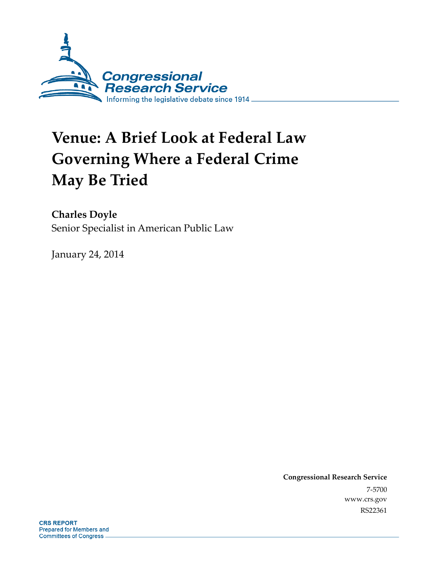

# **Venue: A Brief Look at Federal Law Governing Where a Federal Crime May Be Tried**

**Charles Doyle** 

Senior Specialist in American Public Law

January 24, 2014

**Congressional Research Service**  7-5700 www.crs.gov RS22361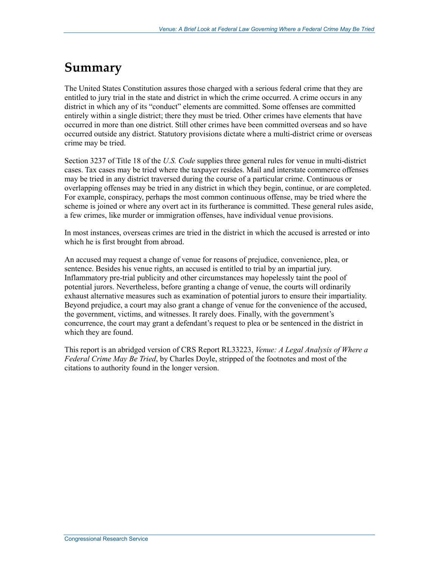## **Summary**

The United States Constitution assures those charged with a serious federal crime that they are entitled to jury trial in the state and district in which the crime occurred. A crime occurs in any district in which any of its "conduct" elements are committed. Some offenses are committed entirely within a single district; there they must be tried. Other crimes have elements that have occurred in more than one district. Still other crimes have been committed overseas and so have occurred outside any district. Statutory provisions dictate where a multi-district crime or overseas crime may be tried.

Section 3237 of Title 18 of the *U.S. Code* supplies three general rules for venue in multi-district cases. Tax cases may be tried where the taxpayer resides. Mail and interstate commerce offenses may be tried in any district traversed during the course of a particular crime. Continuous or overlapping offenses may be tried in any district in which they begin, continue, or are completed. For example, conspiracy, perhaps the most common continuous offense, may be tried where the scheme is joined or where any overt act in its furtherance is committed. These general rules aside, a few crimes, like murder or immigration offenses, have individual venue provisions.

In most instances, overseas crimes are tried in the district in which the accused is arrested or into which he is first brought from abroad.

An accused may request a change of venue for reasons of prejudice, convenience, plea, or sentence. Besides his venue rights, an accused is entitled to trial by an impartial jury. Inflammatory pre-trial publicity and other circumstances may hopelessly taint the pool of potential jurors. Nevertheless, before granting a change of venue, the courts will ordinarily exhaust alternative measures such as examination of potential jurors to ensure their impartiality. Beyond prejudice, a court may also grant a change of venue for the convenience of the accused, the government, victims, and witnesses. It rarely does. Finally, with the government's concurrence, the court may grant a defendant's request to plea or be sentenced in the district in which they are found.

This report is an abridged version of CRS Report RL33223, *Venue: A Legal Analysis of Where a Federal Crime May Be Tried*, by Charles Doyle, stripped of the footnotes and most of the citations to authority found in the longer version.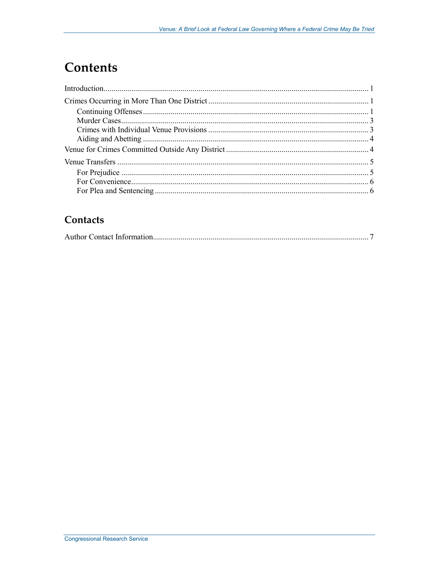# **Contents**

### Contacts

|--|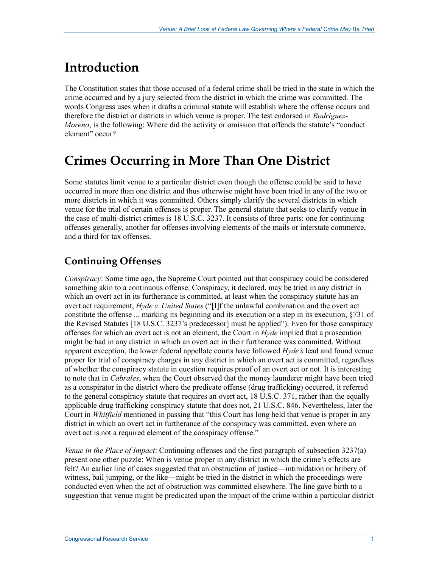# **Introduction**

The Constitution states that those accused of a federal crime shall be tried in the state in which the crime occurred and by a jury selected from the district in which the crime was committed. The words Congress uses when it drafts a criminal statute will establish where the offense occurs and therefore the district or districts in which venue is proper. The test endorsed in *Rodriguez-Moreno*, is the following: Where did the activity or omission that offends the statute's "conduct element" occur?

## **Crimes Occurring in More Than One District**

Some statutes limit venue to a particular district even though the offense could be said to have occurred in more than one district and thus otherwise might have been tried in any of the two or more districts in which it was committed. Others simply clarify the several districts in which venue for the trial of certain offenses is proper. The general statute that seeks to clarify venue in the case of multi-district crimes is 18 U.S.C. 3237. It consists of three parts: one for continuing offenses generally, another for offenses involving elements of the mails or interstate commerce, and a third for tax offenses.

### **Continuing Offenses**

*Conspiracy*: Some time ago, the Supreme Court pointed out that conspiracy could be considered something akin to a continuous offense. Conspiracy, it declared, may be tried in any district in which an overt act in its furtherance is committed, at least when the conspiracy statute has an overt act requirement, *Hyde v. United States* ("[I]f the unlawful combination and the overt act constitute the offense ... marking its beginning and its execution or a step in its execution, §731 of the Revised Statutes [18 U.S.C. 3237's predecessor] must be applied"). Even for those conspiracy offenses for which an overt act is not an element, the Court in *Hyde* implied that a prosecution might be had in any district in which an overt act in their furtherance was committed. Without apparent exception, the lower federal appellate courts have followed *Hyde's* lead and found venue proper for trial of conspiracy charges in any district in which an overt act is committed, regardless of whether the conspiracy statute in question requires proof of an overt act or not. It is interesting to note that in *Cabrales*, when the Court observed that the money launderer might have been tried as a conspirator in the district where the predicate offense (drug trafficking) occurred, it referred to the general conspiracy statute that requires an overt act, 18 U.S.C. 371, rather than the equally applicable drug trafficking conspiracy statute that does not, 21 U.S.C. 846. Nevertheless, later the Court in *Whitfield* mentioned in passing that "this Court has long held that venue is proper in any district in which an overt act in furtherance of the conspiracy was committed, even where an overt act is not a required element of the conspiracy offense."

*Venue in the Place of Impact*: Continuing offenses and the first paragraph of subsection 3237(a) present one other puzzle: When is venue proper in any district in which the crime's effects are felt? An earlier line of cases suggested that an obstruction of justice—intimidation or bribery of witness, bail jumping, or the like—might be tried in the district in which the proceedings were conducted even when the act of obstruction was committed elsewhere. The line gave birth to a suggestion that venue might be predicated upon the impact of the crime within a particular district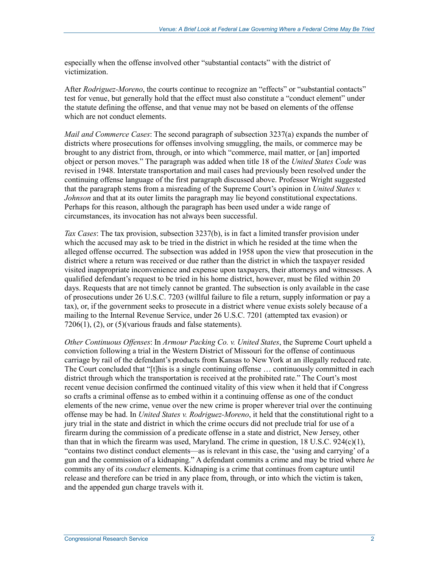especially when the offense involved other "substantial contacts" with the district of victimization.

After *Rodriguez-Moreno*, the courts continue to recognize an "effects" or "substantial contacts" test for venue, but generally hold that the effect must also constitute a "conduct element" under the statute defining the offense, and that venue may not be based on elements of the offense which are not conduct elements.

*Mail and Commerce Cases*: The second paragraph of subsection 3237(a) expands the number of districts where prosecutions for offenses involving smuggling, the mails, or commerce may be brought to any district from, through, or into which "commerce, mail matter, or [an] imported object or person moves." The paragraph was added when title 18 of the *United States Code* was revised in 1948. Interstate transportation and mail cases had previously been resolved under the continuing offense language of the first paragraph discussed above. Professor Wright suggested that the paragraph stems from a misreading of the Supreme Court's opinion in *United States v. Johnson* and that at its outer limits the paragraph may lie beyond constitutional expectations. Perhaps for this reason, although the paragraph has been used under a wide range of circumstances, its invocation has not always been successful.

*Tax Cases*: The tax provision, subsection 3237(b), is in fact a limited transfer provision under which the accused may ask to be tried in the district in which he resided at the time when the alleged offense occurred. The subsection was added in 1958 upon the view that prosecution in the district where a return was received or due rather than the district in which the taxpayer resided visited inappropriate inconvenience and expense upon taxpayers, their attorneys and witnesses. A qualified defendant's request to be tried in his home district, however, must be filed within 20 days. Requests that are not timely cannot be granted. The subsection is only available in the case of prosecutions under 26 U.S.C. 7203 (willful failure to file a return, supply information or pay a tax), or, if the government seeks to prosecute in a district where venue exists solely because of a mailing to the Internal Revenue Service, under 26 U.S.C. 7201 (attempted tax evasion) or 7206(1), (2), or (5)(various frauds and false statements).

*Other Continuous Offenses*: In *Armour Packing Co. v. United States*, the Supreme Court upheld a conviction following a trial in the Western District of Missouri for the offense of continuous carriage by rail of the defendant's products from Kansas to New York at an illegally reduced rate. The Court concluded that "[t]his is a single continuing offense … continuously committed in each district through which the transportation is received at the prohibited rate." The Court's most recent venue decision confirmed the continued vitality of this view when it held that if Congress so crafts a criminal offense as to embed within it a continuing offense as one of the conduct elements of the new crime, venue over the new crime is proper wherever trial over the continuing offense may be had. In *United States v. Rodriguez-Moreno*, it held that the constitutional right to a jury trial in the state and district in which the crime occurs did not preclude trial for use of a firearm during the commission of a predicate offense in a state and district, New Jersey, other than that in which the firearm was used, Maryland. The crime in question, 18 U.S.C. 924(c)(1), "contains two distinct conduct elements—as is relevant in this case, the 'using and carrying' of a gun and the commission of a kidnaping." A defendant commits a crime and may be tried where *he* commits any of its *conduct* elements. Kidnaping is a crime that continues from capture until release and therefore can be tried in any place from, through, or into which the victim is taken, and the appended gun charge travels with it.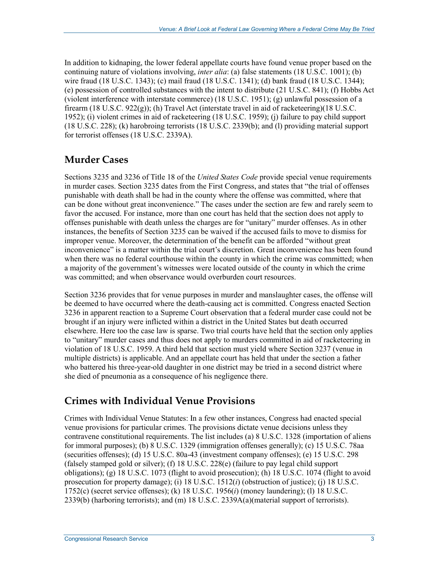In addition to kidnaping, the lower federal appellate courts have found venue proper based on the continuing nature of violations involving, *inter alia*: (a) false statements (18 U.S.C. 1001); (b) wire fraud (18 U.S.C. 1343); (c) mail fraud (18 U.S.C. 1341); (d) bank fraud (18 U.S.C. 1344); (e) possession of controlled substances with the intent to distribute (21 U.S.C. 841); (f) Hobbs Act (violent interference with interstate commerce) (18 U.S.C. 1951); (g) unlawful possession of a firearm (18 U.S.C. 922(g)); (h) Travel Act (interstate travel in aid of racketeering)(18 U.S.C. 1952); (i) violent crimes in aid of racketeering (18 U.S.C. 1959); (j) failure to pay child support (18 U.S.C. 228); (k) harobroing terrorists (18 U.S.C. 2339(b); and (l) providing material support for terrorist offenses (18 U.S.C. 2339A).

#### **Murder Cases**

Sections 3235 and 3236 of Title 18 of the *United States Code* provide special venue requirements in murder cases. Section 3235 dates from the First Congress, and states that "the trial of offenses punishable with death shall be had in the county where the offense was committed, where that can be done without great inconvenience." The cases under the section are few and rarely seem to favor the accused. For instance, more than one court has held that the section does not apply to offenses punishable with death unless the charges are for "unitary" murder offenses. As in other instances, the benefits of Section 3235 can be waived if the accused fails to move to dismiss for improper venue. Moreover, the determination of the benefit can be afforded "without great inconvenience" is a matter within the trial court's discretion. Great inconvenience has been found when there was no federal courthouse within the county in which the crime was committed; when a majority of the government's witnesses were located outside of the county in which the crime was committed; and when observance would overburden court resources.

Section 3236 provides that for venue purposes in murder and manslaughter cases, the offense will be deemed to have occurred where the death-causing act is committed. Congress enacted Section 3236 in apparent reaction to a Supreme Court observation that a federal murder case could not be brought if an injury were inflicted within a district in the United States but death occurred elsewhere. Here too the case law is sparse. Two trial courts have held that the section only applies to "unitary" murder cases and thus does not apply to murders committed in aid of racketeering in violation of 18 U.S.C. 1959. A third held that section must yield where Section 3237 (venue in multiple districts) is applicable. And an appellate court has held that under the section a father who battered his three-year-old daughter in one district may be tried in a second district where she died of pneumonia as a consequence of his negligence there.

#### **Crimes with Individual Venue Provisions**

Crimes with Individual Venue Statutes: In a few other instances, Congress had enacted special venue provisions for particular crimes. The provisions dictate venue decisions unless they contravene constitutional requirements. The list includes (a) 8 U.S.C. 1328 (importation of aliens for immoral purposes); (b) 8 U.S.C. 1329 (immigration offenses generally); (c) 15 U.S.C. 78aa (securities offenses); (d) 15 U.S.C. 80a-43 (investment company offenses); (e) 15 U.S.C. 298 (falsely stamped gold or silver); (f) 18 U.S.C. 228(e) (failure to pay legal child support obligations); (g) 18 U.S.C. 1073 (flight to avoid prosecution); (h) 18 U.S.C. 1074 (flight to avoid prosecution for property damage); (i) 18 U.S.C. 1512(*i*) (obstruction of justice); (j) 18 U.S.C. 1752(c) (secret service offenses); (k) 18 U.S.C. 1956(*i*) (money laundering); (l) 18 U.S.C. 2339(b) (harboring terrorists); and (m) 18 U.S.C. 2339A(a)(material support of terrorists).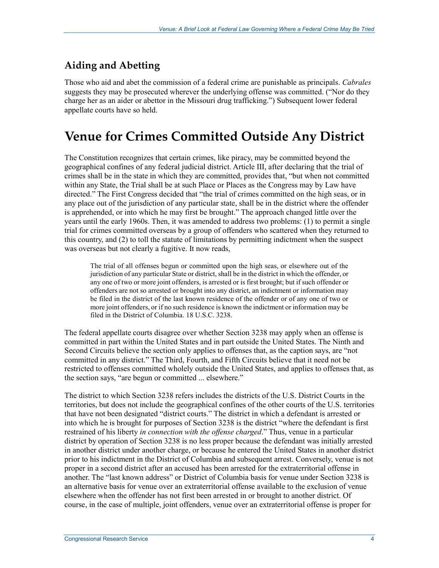### **Aiding and Abetting**

Those who aid and abet the commission of a federal crime are punishable as principals. *Cabrales* suggests they may be prosecuted wherever the underlying offense was committed. ("Nor do they charge her as an aider or abettor in the Missouri drug trafficking.") Subsequent lower federal appellate courts have so held.

### **Venue for Crimes Committed Outside Any District**

The Constitution recognizes that certain crimes, like piracy, may be committed beyond the geographical confines of any federal judicial district. Article III, after declaring that the trial of crimes shall be in the state in which they are committed, provides that, "but when not committed within any State, the Trial shall be at such Place or Places as the Congress may by Law have directed." The First Congress decided that "the trial of crimes committed on the high seas, or in any place out of the jurisdiction of any particular state, shall be in the district where the offender is apprehended, or into which he may first be brought." The approach changed little over the years until the early 1960s. Then, it was amended to address two problems: (1) to permit a single trial for crimes committed overseas by a group of offenders who scattered when they returned to this country, and (2) to toll the statute of limitations by permitting indictment when the suspect was overseas but not clearly a fugitive. It now reads,

The trial of all offenses begun or committed upon the high seas, or elsewhere out of the jurisdiction of any particular State or district, shall be in the district in which the offender, or any one of two or more joint offenders, is arrested or is first brought; but if such offender or offenders are not so arrested or brought into any district, an indictment or information may be filed in the district of the last known residence of the offender or of any one of two or more joint offenders, or if no such residence is known the indictment or information may be filed in the District of Columbia. 18 U.S.C. 3238.

The federal appellate courts disagree over whether Section 3238 may apply when an offense is committed in part within the United States and in part outside the United States. The Ninth and Second Circuits believe the section only applies to offenses that, as the caption says, are "not committed in any district." The Third, Fourth, and Fifth Circuits believe that it need not be restricted to offenses committed wholely outside the United States, and applies to offenses that, as the section says, "are begun or committed ... elsewhere."

The district to which Section 3238 refers includes the districts of the U.S. District Courts in the territories, but does not include the geographical confines of the other courts of the U.S. territories that have not been designated "district courts." The district in which a defendant is arrested or into which he is brought for purposes of Section 3238 is the district "where the defendant is first restrained of his liberty *in connection with the offense charged*." Thus, venue in a particular district by operation of Section 3238 is no less proper because the defendant was initially arrested in another district under another charge, or because he entered the United States in another district prior to his indictment in the District of Columbia and subsequent arrest. Conversely, venue is not proper in a second district after an accused has been arrested for the extraterritorial offense in another. The "last known address" or District of Columbia basis for venue under Section 3238 is an alternative basis for venue over an extraterritorial offense available to the exclusion of venue elsewhere when the offender has not first been arrested in or brought to another district. Of course, in the case of multiple, joint offenders, venue over an extraterritorial offense is proper for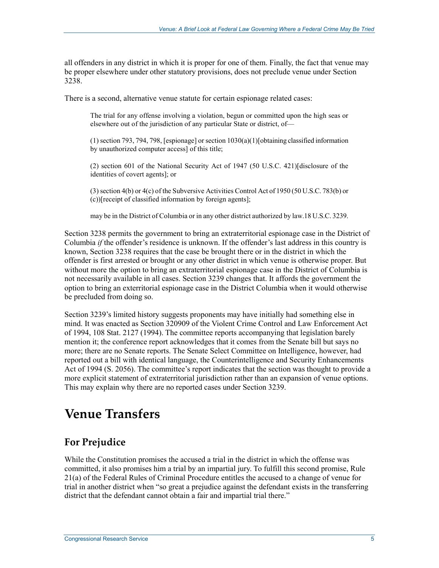all offenders in any district in which it is proper for one of them. Finally, the fact that venue may be proper elsewhere under other statutory provisions, does not preclude venue under Section 3238.

There is a second, alternative venue statute for certain espionage related cases:

The trial for any offense involving a violation, begun or committed upon the high seas or elsewhere out of the jurisdiction of any particular State or district, of—

(1) section 793, 794, 798, [espionage] or section 1030(a)(1)[obtaining classified information by unauthorized computer access] of this title;

(2) section 601 of the National Security Act of 1947 (50 U.S.C. 421)[disclosure of the identities of covert agents]; or

(3) section 4(b) or 4(c) of the Subversive Activities Control Act of 1950 (50 U.S.C. 783(b) or (c))[receipt of classified information by foreign agents];

may be in the District of Columbia or in any other district authorized by law.18 U.S.C. 3239.

Section 3238 permits the government to bring an extraterritorial espionage case in the District of Columbia *if* the offender's residence is unknown. If the offender's last address in this country is known, Section 3238 requires that the case be brought there or in the district in which the offender is first arrested or brought or any other district in which venue is otherwise proper. But without more the option to bring an extraterritorial espionage case in the District of Columbia is not necessarily available in all cases. Section 3239 changes that. It affords the government the option to bring an exterritorial espionage case in the District Columbia when it would otherwise be precluded from doing so.

Section 3239's limited history suggests proponents may have initially had something else in mind. It was enacted as Section 320909 of the Violent Crime Control and Law Enforcement Act of 1994, 108 Stat. 2127 (1994). The committee reports accompanying that legislation barely mention it; the conference report acknowledges that it comes from the Senate bill but says no more; there are no Senate reports. The Senate Select Committee on Intelligence, however, had reported out a bill with identical language, the Counterintelligence and Security Enhancements Act of 1994 (S. 2056). The committee's report indicates that the section was thought to provide a more explicit statement of extraterritorial jurisdiction rather than an expansion of venue options. This may explain why there are no reported cases under Section 3239.

# **Venue Transfers**

#### **For Prejudice**

While the Constitution promises the accused a trial in the district in which the offense was committed, it also promises him a trial by an impartial jury. To fulfill this second promise, Rule 21(a) of the Federal Rules of Criminal Procedure entitles the accused to a change of venue for trial in another district when "so great a prejudice against the defendant exists in the transferring district that the defendant cannot obtain a fair and impartial trial there."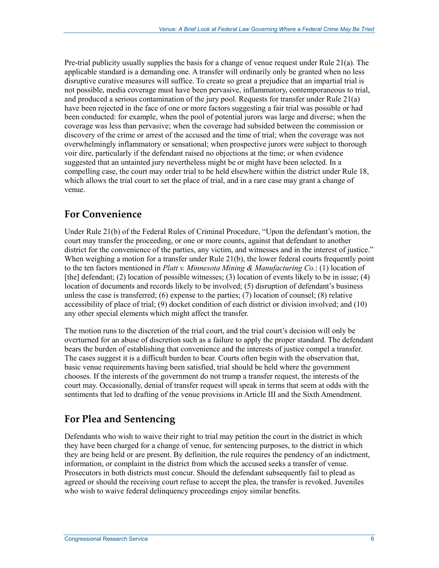Pre-trial publicity usually supplies the basis for a change of venue request under Rule 21(a). The applicable standard is a demanding one. A transfer will ordinarily only be granted when no less disruptive curative measures will suffice. To create so great a prejudice that an impartial trial is not possible, media coverage must have been pervasive, inflammatory, contemporaneous to trial, and produced a serious contamination of the jury pool. Requests for transfer under Rule 21(a) have been rejected in the face of one or more factors suggesting a fair trial was possible or had been conducted: for example, when the pool of potential jurors was large and diverse; when the coverage was less than pervasive; when the coverage had subsided between the commission or discovery of the crime or arrest of the accused and the time of trial; when the coverage was not overwhelmingly inflammatory or sensational; when prospective jurors were subject to thorough voir dire, particularly if the defendant raised no objections at the time; or when evidence suggested that an untainted jury nevertheless might be or might have been selected. In a compelling case, the court may order trial to be held elsewhere within the district under Rule 18, which allows the trial court to set the place of trial, and in a rare case may grant a change of venue.

#### **For Convenience**

Under Rule 21(b) of the Federal Rules of Criminal Procedure, "Upon the defendant's motion, the court may transfer the proceeding, or one or more counts, against that defendant to another district for the convenience of the parties, any victim, and witnesses and in the interest of justice." When weighing a motion for a transfer under Rule 21(b), the lower federal courts frequently point to the ten factors mentioned in *Platt v. Minnesota Mining & Manufacturing Co.*: (1) location of [the] defendant; (2) location of possible witnesses; (3) location of events likely to be in issue; (4) location of documents and records likely to be involved; (5) disruption of defendant's business unless the case is transferred; (6) expense to the parties; (7) location of counsel; (8) relative accessibility of place of trial; (9) docket condition of each district or division involved; and (10) any other special elements which might affect the transfer.

The motion runs to the discretion of the trial court, and the trial court's decision will only be overturned for an abuse of discretion such as a failure to apply the proper standard. The defendant bears the burden of establishing that convenience and the interests of justice compel a transfer. The cases suggest it is a difficult burden to bear. Courts often begin with the observation that, basic venue requirements having been satisfied, trial should be held where the government chooses. If the interests of the government do not trump a transfer request, the interests of the court may. Occasionally, denial of transfer request will speak in terms that seem at odds with the sentiments that led to drafting of the venue provisions in Article III and the Sixth Amendment.

#### **For Plea and Sentencing**

Defendants who wish to waive their right to trial may petition the court in the district in which they have been charged for a change of venue, for sentencing purposes, to the district in which they are being held or are present. By definition, the rule requires the pendency of an indictment, information, or complaint in the district from which the accused seeks a transfer of venue. Prosecutors in both districts must concur. Should the defendant subsequently fail to plead as agreed or should the receiving court refuse to accept the plea, the transfer is revoked. Juveniles who wish to waive federal delinquency proceedings enjoy similar benefits.